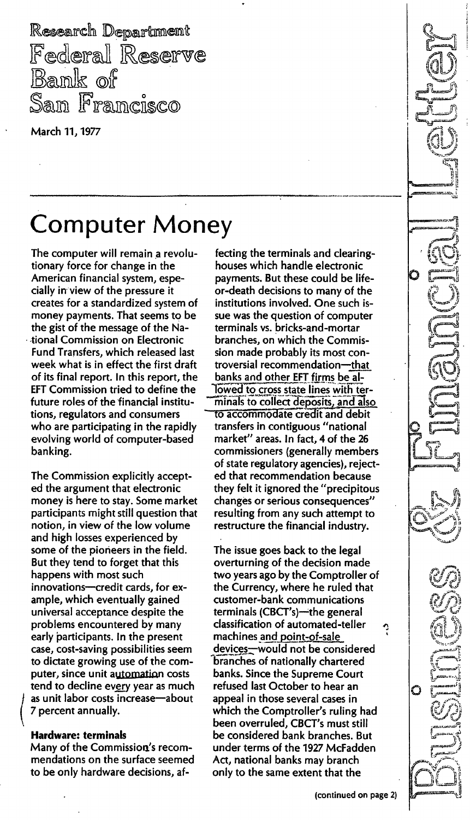Research Department **Federal Reserve** Bank of Sam Francisco

March 11} 1977

# **Computer Money**

The computer will remain a revolutionary force for change in the American financial system, especially in view of the pressure it creates for a standardized system of money payments. That seems to be the gist of the message of the National Commission on Electronic Fund Transfers} which released last week what is in effect the first draft of its final report. In this report, the EFT Commission tried to define the future roles of the financial institutions, regulators and consumers who are participating in the rapidly evolving world of computer-based banking.

The Commission explicitly accepted the argument that electronic money is here to stay. Some market participants might still question that notion, in view of the low volume and high losses experienced by some of the pioneers in the field. But they tend to forget that this happens with most such innovations-credit cards, for example} which eventually gained universal acceptance despite the problems encountered by many early participants. In the present case, cost-saving possibilities seem to dictate growing use of the computer, since unit automation costs tend to decline every year as much as unit labor costs increase-about 7 percent annually.

#### Hardware: terminals

Many of the Commission's recommendations on the surface seemed to be only hardware decisions, af-

fecting the terminals and clearinghouses which handle electronic payments. But these could be Iifeor-death decisions to many of the institutions involved. One such issue was the question of computer terminals vs. bricks-and-mortar branches, on which the Commission made probably its most controversial recommendation-that banks and other EFT firms be al-<br>lowed to cross state lines with terminals to collect deposits, and also to accommodate credit and debit transfers in contiguous "national market" areas. In fact, 4 of the 26 commissioners (generally members of state regulatory agencies), rejected that recommendation because they felt it ignored the" precipitous changes or serious consequences" resulting from any such attempt to restructure the financial industry.

The issue goes back to the legal overturning of the decision made two years ago by the Comptroller of the Currency, where he ruled that customer-bank communications terminals (CBCT's)-the general classification of automated-teller machines and point-of-sale devices-would not be considered branches of nationally chartered banks. Since the Supreme Court refused last October to hear an appeal in those several cases in which the Comptroller's ruling had been overruled) CBCT's must still be considered bank branches. But under terms of the 1927 McFadden Act, national banks may branch only to the same extent that the  $\bullet$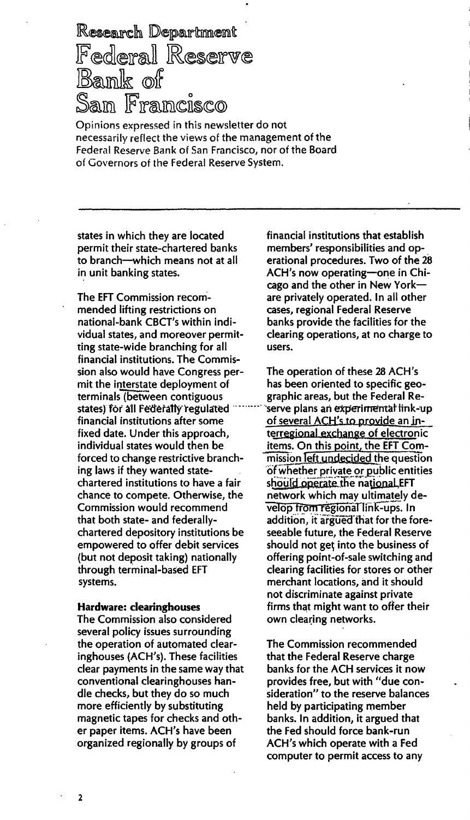Research Department Federal Reserve Bank of .<br>San Francisco

Opinions expressed in this newsletter do not necessarily reflect the views of the management of the Federal Reserve Bank of San Francisco, nor of the Board of Governors of the Federal Reserve System.

states in which they are located permit their state-chartered banks to branch-which means not at all in unit banking states.

The EFT Commission recommended lifting restrictions on national-bank CBCT's within individual states, and moreover permitting state-wide branching for all financial institutions. The Commission also would have Congress permit the interstate deployment of terminals (between contiguous states) for all Federally regulated financial institutions after some fixed date. Under this approach. individual states would then be forced to change restrictive branching laws if they wanted statechartered institutions to have a fair chance to compete. Otherwise, the Commission would recommend that both state- and federallychartered depository institutions be empowered to offer debit services (but not deposit taking) nationally through terminal-based EFT systems.

#### **Hardware: clearinghouses**

The Commission also considered several policy issues surrounding the operation of automated clearinghouses (ACH's). These facilities clear payments in the same way that conventional clearinghouses handle checks, but they do so much more efficiently by substituting magnetic tapes for checks and other paper items. ACH's have been organized regionally by groups of

financial institutions that establish members' responsibilities and operational procedures. Two of the 28 ACH's now operating-one in Chicago and the other in New Yorkare privately operated. In all other cases, regional Federal Reserve banks provide the facilities for the clearing operations, at no charge to users.

The operation of these 28 ACH's has been oriented to specific geographic areas, but the Federal Reserve plans an experimental link-up of several ACH's to provide an interregional exchange of electronic items. On this point, the EFT Commission left undecided the question of whether private or public entities should operate the national EFT network which may ultimately develop from regional link-ups. In addition, it argued that for the foreseeable future, the Federal Reserve should not get into the business of offering point-of-sale switching and clearing facilities for stores or other merchant locations, and it should not discriminate against private firms that might want to offer their own clearing networks.

The Commission recommended that the Federal Reserve charge banks for the ACH services it now provides free, but with "due consideration" to the reserve balances held by participating member banks. In addition, it argued that the Fed should force bank-run ACH's which operate with a Fed computer to permit access to any

 $\overline{2}$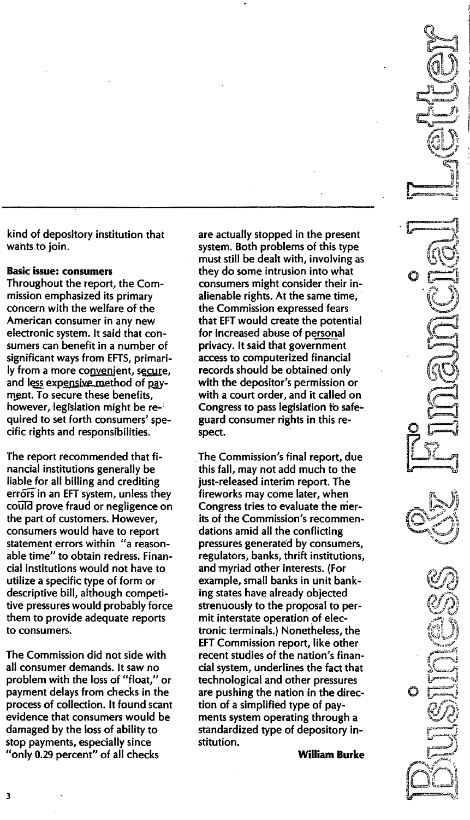kind of depository institution that wants.to join.

#### **Basic issue: consumers**

Throughout the report, the Commission emphasized its primary concern with the welfare of the American consumer in any new electronic system. It said that consumers can benefit in a number of significant ways from EFTS, primarily from a more convenient, secure, and less expensive method of payment. To secure these benefits, however, legislation might be required to set forth consumers' specific rights and responsibilities.

The report recommended that financial institutions generally be liable for all billing and crediting errors in an EFT system, unless they couTd prove fraud or negligence on the part of customers. However, consumers would have to report statement errors within "a reasonable time" to obtain redress. Financial institutions would not have to utilize a specific type of form or descriptive bill, although competitive pressures would probably force them to provide adequate reports to consumers.

The Commission did not side with all consumer demands. It saw no problem with the loss of "float," or payment delays from checks in the process of collection. It found scant evidence that consumers would be damaged by the loss of ability to stop payments, especially since "only 0.29 percent" of all checks

are actually stopped in the present system. Both problems of this type must still be dealt with, involving as they do some intrusion into what consumers might consider their inalienable rights. At the same time, the Commission expressed fears that EFT would create the potential for increased abuse of personal privacy. It said that government access to computerized financial records should be obtained only with the depositor's permission or with a court order, and it called on Congress to pass legislation to safeguard consumer rights in this respect.

The Commission's final report, due this fall, may not add much to the just-released interim report. The fireworks may come later, when Congress tries to evaluate the merits of the Commission's recommendations amid all the conflicting pressures generated by consumers, regulators, banks, thrift institutions, and myriad other interests. (For example, small banks in unit banking states have already objected strenuously to the proposal to permit interstate operation of electronic terminals.) Nonetheless, the EFT Commission report, like other recent studies of the nation's financial system, underlines the fact that technological and other pressures are pushing the nation in the direction of a simplified type of payments system operating through a standardized type of depository institution.

William Burke